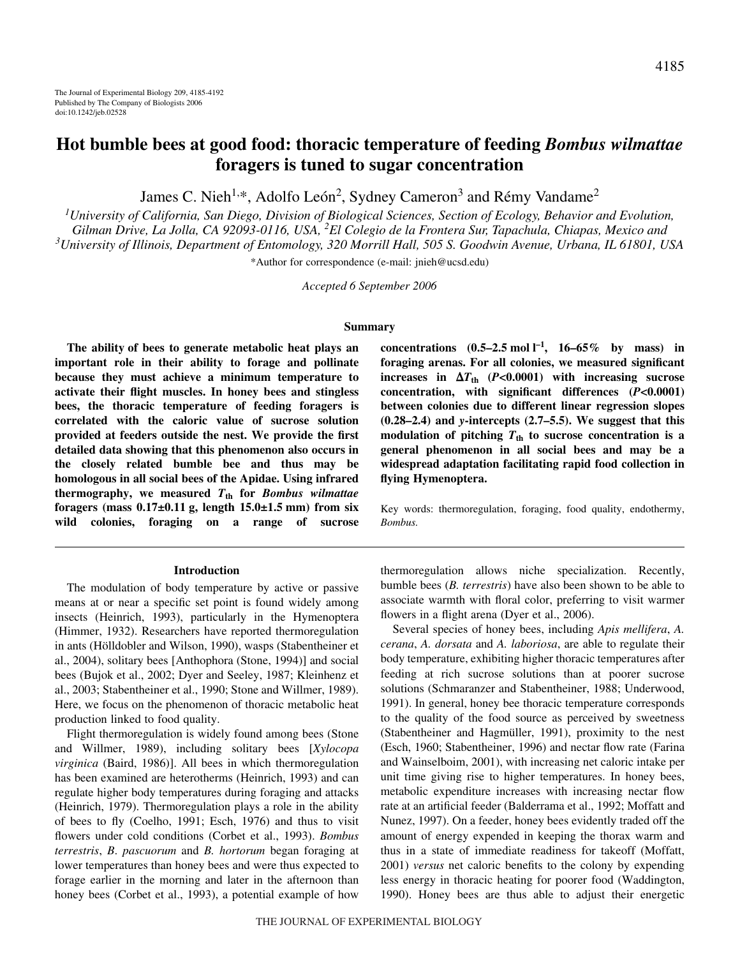# **Hot bumble bees at good food: thoracic temperature of feeding** *Bombus wilmattae* **foragers is tuned to sugar concentration**

James C. Nieh<sup>1,\*</sup>, Adolfo León<sup>2</sup>, Sydney Cameron<sup>3</sup> and Rémy Vandame<sup>2</sup>

*1 University of California, San Diego, Division of Biological Sciences, Section of Ecology, Behavior and Evolution, Gilman Drive, La Jolla, CA 92093-0116, USA, <sup>2</sup> El Colegio de la Frontera Sur, Tapachula, Chiapas, Mexico and 3 University of Illinois, Department of Entomology, 320 Morrill Hall, 505 S. Goodwin Avenue, Urbana, IL 61801, USA*

\*Author for correspondence (e-mail: jnieh@ucsd.edu)

*Accepted 6 September 2006*

#### **Summary**

**The ability of bees to generate metabolic heat plays an important role in their ability to forage and pollinate because they must achieve a minimum temperature to activate their flight muscles. In honey bees and stingless bees, the thoracic temperature of feeding foragers is correlated with the caloric value of sucrose solution provided at feeders outside the nest. We provide the first detailed data showing that this phenomenon also occurs in the closely related bumble bee and thus may be homologous in all social bees of the Apidae. Using infrared thermography, we measured** *T***th for** *Bombus wilmattae* foragers (mass  $0.17\pm0.11$  g, length  $15.0\pm1.5$  mm) from six **wild colonies, foraging on a range of sucrose**

#### **Introduction**

The modulation of body temperature by active or passive means at or near a specific set point is found widely among insects (Heinrich, 1993), particularly in the Hymenoptera (Himmer, 1932). Researchers have reported thermoregulation in ants (Hölldobler and Wilson, 1990), wasps (Stabentheiner et al., 2004), solitary bees [Anthophora (Stone, 1994)] and social bees (Bujok et al., 2002; Dyer and Seeley, 1987; Kleinhenz et al., 2003; Stabentheiner et al., 1990; Stone and Willmer, 1989). Here, we focus on the phenomenon of thoracic metabolic heat production linked to food quality.

Flight thermoregulation is widely found among bees (Stone and Willmer, 1989), including solitary bees [*Xylocopa virginica* (Baird, 1986)]. All bees in which thermoregulation has been examined are heterotherms (Heinrich, 1993) and can regulate higher body temperatures during foraging and attacks (Heinrich, 1979). Thermoregulation plays a role in the ability of bees to fly (Coelho, 1991; Esch, 1976) and thus to visit flowers under cold conditions (Corbet et al., 1993). *Bombus terrestris*, *B*. *pascuorum* and *B. hortorum* began foraging at lower temperatures than honey bees and were thus expected to forage earlier in the morning and later in the afternoon than honey bees (Corbet et al., 1993), a potential example of how

**concentrations**  $(0.5-2.5 \text{ mol l}^{-1}, 16-65\% \text{ by mass})$  in **foraging arenas. For all colonies, we measured significant increases in**  $\Delta T_{\text{th}}$  **(***P***<0.0001) with increasing sucrose concentration, with significant differences (***P***<0.0001) between colonies due to different linear regression slopes (0.28–2.4) and** *y***-intercepts (2.7–5.5). We suggest that this** modulation of pitching  $T_{\text{th}}$  to sucrose concentration is a **general phenomenon in all social bees and may be a widespread adaptation facilitating rapid food collection in flying Hymenoptera.**

Key words: thermoregulation, foraging, food quality, endothermy, *Bombus.*

thermoregulation allows niche specialization. Recently, bumble bees (*B. terrestris*) have also been shown to be able to associate warmth with floral color, preferring to visit warmer flowers in a flight arena (Dyer et al., 2006).

Several species of honey bees, including *Apis mellifera*, *A. cerana*, *A. dorsata* and *A. laboriosa*, are able to regulate their body temperature, exhibiting higher thoracic temperatures after feeding at rich sucrose solutions than at poorer sucrose solutions (Schmaranzer and Stabentheiner, 1988; Underwood, 1991). In general, honey bee thoracic temperature corresponds to the quality of the food source as perceived by sweetness (Stabentheiner and Hagmüller, 1991), proximity to the nest (Esch, 1960; Stabentheiner, 1996) and nectar flow rate (Farina and Wainselboim, 2001), with increasing net caloric intake per unit time giving rise to higher temperatures. In honey bees, metabolic expenditure increases with increasing nectar flow rate at an artificial feeder (Balderrama et al., 1992; Moffatt and Nunez, 1997). On a feeder, honey bees evidently traded off the amount of energy expended in keeping the thorax warm and thus in a state of immediate readiness for takeoff (Moffatt, 2001) *versus* net caloric benefits to the colony by expending less energy in thoracic heating for poorer food (Waddington, 1990). Honey bees are thus able to adjust their energetic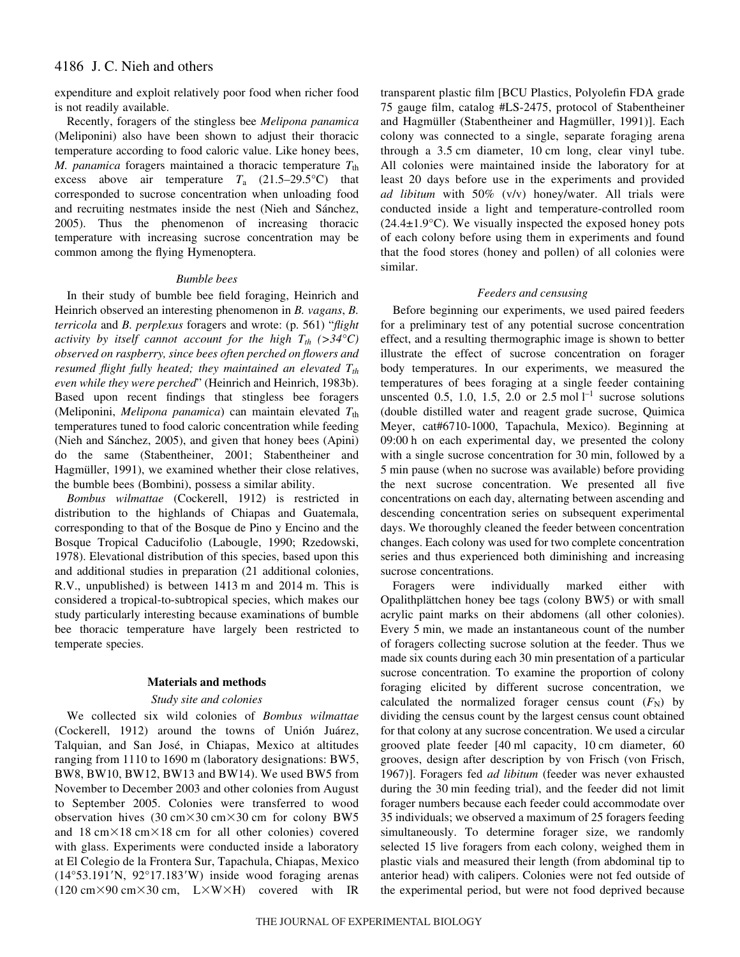## 4186 J. C. Nieh and others

expenditure and exploit relatively poor food when richer food is not readily available.

Recently, foragers of the stingless bee *Melipona panamica* (Meliponini) also have been shown to adjust their thoracic temperature according to food caloric value. Like honey bees, *M. panamica* foragers maintained a thoracic temperature  $T_{\text{th}}$ excess above air temperature  $T_a$  (21.5–29.5°C) that corresponded to sucrose concentration when unloading food and recruiting nestmates inside the nest (Nieh and Sánchez, 2005). Thus the phenomenon of increasing thoracic temperature with increasing sucrose concentration may be common among the flying Hymenoptera.

#### *Bumble bees*

In their study of bumble bee field foraging, Heinrich and Heinrich observed an interesting phenomenon in *B. vagans*, *B. terricola* and *B. perplexus* foragers and wrote: (p. 561) "*flight activity by itself cannot account for the high*  $T_{th}$  (>34°C) *observed on raspberry, since bees often perched on flowers and resumed flight fully heated; they maintained an elevated*  $T_{th}$ *even while they were perched*" (Heinrich and Heinrich, 1983b). Based upon recent findings that stingless bee foragers (Meliponini, *Melipona panamica*) can maintain elevated T<sub>th</sub> temperatures tuned to food caloric concentration while feeding (Nieh and Sánchez, 2005), and given that honey bees (Apini) do the same (Stabentheiner, 2001; Stabentheiner and Hagmüller, 1991), we examined whether their close relatives, the bumble bees (Bombini), possess a similar ability.

*Bombus wilmattae* (Cockerell, 1912) is restricted in distribution to the highlands of Chiapas and Guatemala, corresponding to that of the Bosque de Pino y Encino and the Bosque Tropical Caducifolio (Labougle, 1990; Rzedowski, 1978). Elevational distribution of this species, based upon this and additional studies in preparation (21 additional colonies, R.V., unpublished) is between  $1413 \text{ m}$  and  $2014 \text{ m}$ . This is considered a tropical-to-subtropical species, which makes our study particularly interesting because examinations of bumble bee thoracic temperature have largely been restricted to temperate species.

#### **Materials and methods**

### *Study site and colonies*

We collected six wild colonies of *Bombus wilmattae* (Cockerell, 1912) around the towns of Unión Juárez, Talquian, and San José, in Chiapas, Mexico at altitudes ranging from 1110 to 1690 m (laboratory designations: BW5, BW8, BW10, BW12, BW13 and BW14). We used BW5 from November to December 2003 and other colonies from August to September 2005. Colonies were transferred to wood observation hives  $(30 \text{ cm} \times 30 \text{ cm} \times 30 \text{ cm}$  for colony BW5 and 18 cm $\times$ 18 cm $\times$ 18 cm for all other colonies) covered with glass. Experiments were conducted inside a laboratory at El Colegio de la Frontera Sur, Tapachula, Chiapas, Mexico  $(14°53.191'N, 92°17.183'W)$  inside wood foraging arenas  $(120 \text{ cm} \times 90 \text{ cm} \times 30 \text{ cm}, \quad L \times W \times H)$  covered with IR transparent plastic film [BCU Plastics, Polyolefin FDA grade 75 gauge film, catalog #LS-2475, protocol of Stabentheiner and Hagmüller (Stabentheiner and Hagmüller, 1991)]. Each colony was connected to a single, separate foraging arena through a 3.5 cm diameter, 10 cm long, clear vinyl tube. All colonies were maintained inside the laboratory for at least 20 days before use in the experiments and provided *ad libitum* with 50% (v/v) honey/water. All trials were conducted inside a light and temperature-controlled room  $(24.4\pm1.9\degree C)$ . We visually inspected the exposed honey pots of each colony before using them in experiments and found that the food stores (honey and pollen) of all colonies were similar.

#### *Feeders and censusing*

Before beginning our experiments, we used paired feeders for a preliminary test of any potential sucrose concentration effect, and a resulting thermographic image is shown to better illustrate the effect of sucrose concentration on forager body temperatures. In our experiments, we measured the temperatures of bees foraging at a single feeder containing unscented 0.5, 1.0, 1.5, 2.0 or 2.5 mol  $l^{-1}$  sucrose solutions (double distilled water and reagent grade sucrose, Quimica Meyer, cat#6710-1000, Tapachula, Mexico). Beginning at 09:00 h on each experimental day, we presented the colony with a single sucrose concentration for 30 min, followed by a 5 min pause (when no sucrose was available) before providing the next sucrose concentration. We presented all five concentrations on each day, alternating between ascending and descending concentration series on subsequent experimental days. We thoroughly cleaned the feeder between concentration changes. Each colony was used for two complete concentration series and thus experienced both diminishing and increasing sucrose concentrations.

Foragers were individually marked either with Opalithplättchen honey bee tags (colony BW5) or with small acrylic paint marks on their abdomens (all other colonies). Every 5 min, we made an instantaneous count of the number of foragers collecting sucrose solution at the feeder. Thus we made six counts during each 30 min presentation of a particular sucrose concentration. To examine the proportion of colony foraging elicited by different sucrose concentration, we calculated the normalized forager census count  $(F_N)$  by dividing the census count by the largest census count obtained for that colony at any sucrose concentration. We used a circular grooved plate feeder [40 ml capacity, 10 cm diameter, 60 grooves, design after description by von Frisch (von Frisch, 1967)]. Foragers fed *ad libitum* (feeder was never exhausted during the 30 min feeding trial), and the feeder did not limit forager numbers because each feeder could accommodate over 35 individuals; we observed a maximum of 25 foragers feeding simultaneously. To determine forager size, we randomly selected 15 live foragers from each colony, weighed them in plastic vials and measured their length (from abdominal tip to anterior head) with calipers. Colonies were not fed outside of the experimental period, but were not food deprived because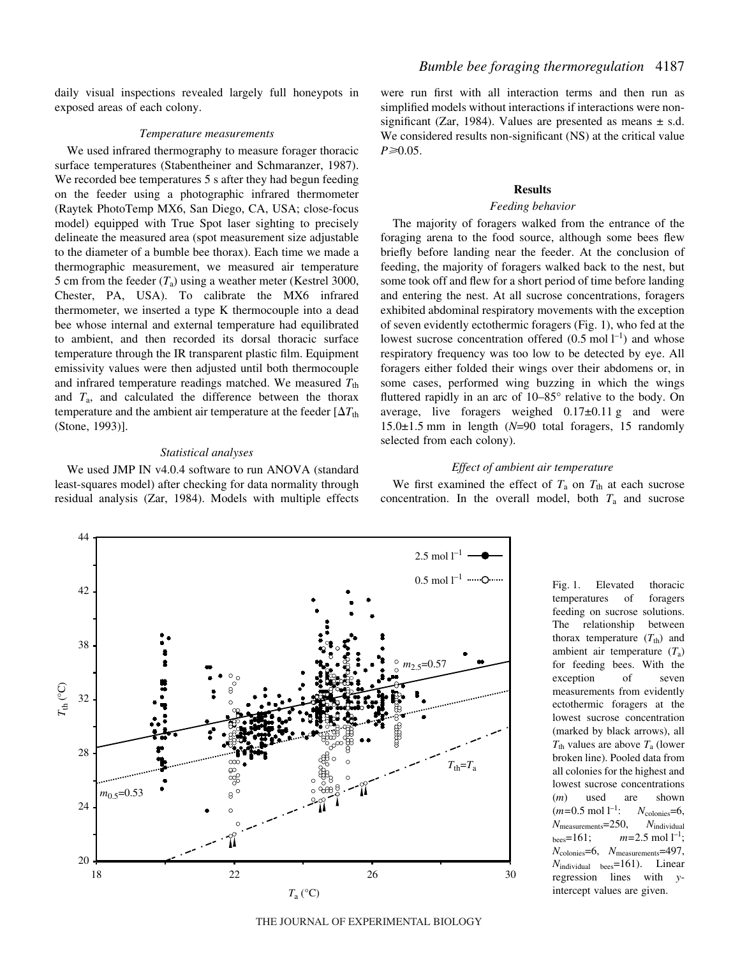daily visual inspections revealed largely full honeypots in exposed areas of each colony.

#### *Temperature measurements*

We used infrared thermography to measure forager thoracic surface temperatures (Stabentheiner and Schmaranzer, 1987). We recorded bee temperatures 5 s after they had begun feeding on the feeder using a photographic infrared thermometer (Raytek PhotoTemp MX6, San Diego, CA, USA; close-focus model) equipped with True Spot laser sighting to precisely delineate the measured area (spot measurement size adjustable to the diameter of a bumble bee thorax). Each time we made a thermographic measurement, we measured air temperature 5 cm from the feeder  $(T_a)$  using a weather meter (Kestrel 3000, Chester, PA, USA). To calibrate the MX6 infrared thermometer, we inserted a type K thermocouple into a dead bee whose internal and external temperature had equilibrated to ambient, and then recorded its dorsal thoracic surface temperature through the IR transparent plastic film. Equipment emissivity values were then adjusted until both thermocouple and infrared temperature readings matched. We measured  $T_{\text{th}}$ and *T*a, and calculated the difference between the thorax temperature and the ambient air temperature at the feeder [ $\Delta T_\text{th}$ (Stone, 1993)].

#### *Statistical analyses*

We used JMP IN v4.0.4 software to run ANOVA (standard least-squares model) after checking for data normality through residual analysis (Zar, 1984). Models with multiple effects were run first with all interaction terms and then run as simplified models without interactions if interactions were nonsignificant (Zar, 1984). Values are presented as means  $\pm$  s.d. We considered results non-significant (NS) at the critical value *P*≥0.05.

#### **Results**

#### *Feeding behavior*

The majority of foragers walked from the entrance of the foraging arena to the food source, although some bees flew briefly before landing near the feeder. At the conclusion of feeding, the majority of foragers walked back to the nest, but some took off and flew for a short period of time before landing and entering the nest. At all sucrose concentrations, foragers exhibited abdominal respiratory movements with the exception of seven evidently ectothermic foragers (Fig. 1), who fed at the lowest sucrose concentration offered  $(0.5 \text{ mol } l^{-1})$  and whose respiratory frequency was too low to be detected by eye. All foragers either folded their wings over their abdomens or, in some cases, performed wing buzzing in which the wings fluttered rapidly in an arc of 10–85° relative to the body. On average, live foragers weighed  $0.17\pm0.11$  g and were  $15.0\pm1.5$  mm in length ( $N=90$  total foragers, 15 randomly selected from each colony).

### *Effect of ambient air temperature*

We first examined the effect of  $T_a$  on  $T_{th}$  at each sucrose concentration. In the overall model, both *T*<sup>a</sup> and sucrose



Fig. 1. Elevated thoracic temperatures of foragers feeding on sucrose solutions. The relationship between thorax temperature  $(T_{\text{th}})$  and ambient air temperature (*T*a) for feeding bees. With the exception of seven measurements from evidently ectothermic foragers at the lowest sucrose concentration (marked by black arrows), all *T*th values are above *T*<sup>a</sup> (lower broken line). Pooled data from all colonies for the highest and lowest sucrose concentrations (*m*) used are shown  $(m=0.5 \text{ mol } l^{-1})$ :  $N_{\text{colories}}=6,$ *N*measurements=250, *N*individual  $_{\text{bees}}=161; \qquad m=2.5 \text{ mol } l^{-1};$ *N*colonies=6, *N*measurements=497, *N*individual bees=161). Linear regression lines with *y*intercept values are given.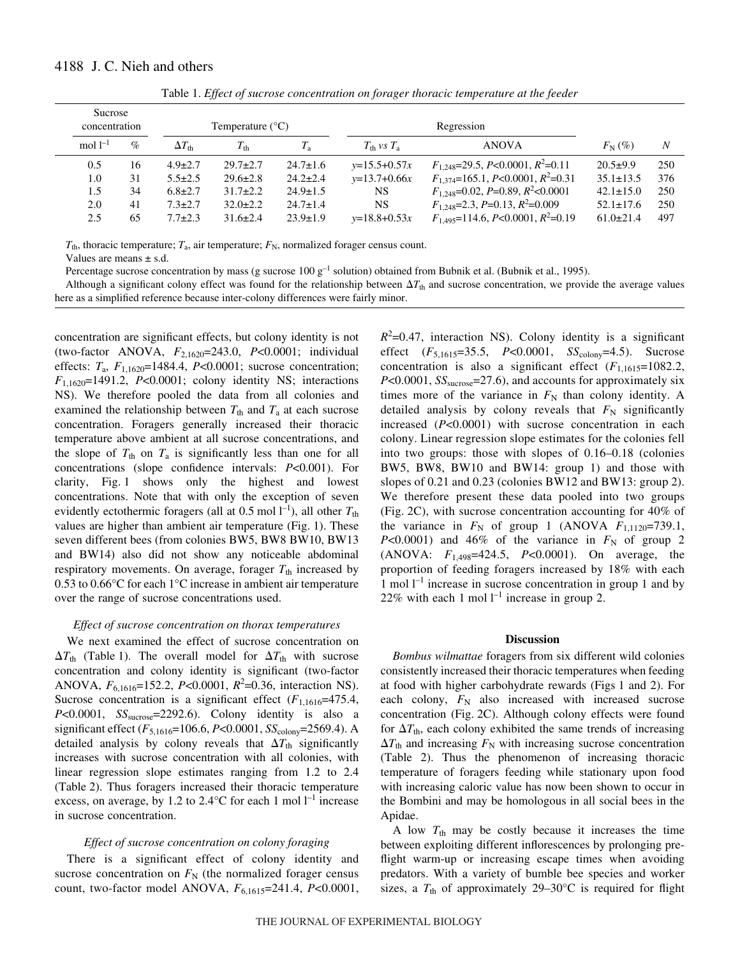| Sucrose<br>concentration |      |                     | Temperature $(^{\circ}C)$ |                |                                   | Regression                                         |                 |     |
|--------------------------|------|---------------------|---------------------------|----------------|-----------------------------------|----------------------------------------------------|-----------------|-----|
| mol $l^{-1}$             | $\%$ | $\Delta T_{\rm th}$ | $T_{\rm th}$              | $T_{\rm a}$    | $T_{\text{th}}$ vs $T_{\text{a}}$ | ANOVA                                              | $F_{\rm N}$ (%) | N   |
| 0.5                      | 16   | $4.9 \pm 2.7$       | $29.7 \pm 2.7$            | $24.7 \pm 1.6$ | $y=15.5+0.57x$                    | $F_{1,248}=29.5, P<0.0001, R^2=0.11$               | $20.5+9.9$      | 250 |
| 1.0                      | 31   | $5.5 \pm 2.5$       | $29.6 \pm 2.8$            | $24.2 \pm 2.4$ | $y=13.7+0.66x$                    | $F_{1,374}$ =165.1, P<0.0001, R <sup>2</sup> =0.31 | $35.1 \pm 13.5$ | 376 |
| 1.5                      | 34   | $6.8 \pm 2.7$       | $31.7 \pm 2.2$            | $24.9 \pm 1.5$ | <b>NS</b>                         | $F_{1,248}=0.02, P=0.89, R^2<0.0001$               | $42.1 \pm 15.0$ | 250 |
| 2.0                      | 41   | $7.3 \pm 2.7$       | $32.0 \pm 2.2$            | $24.7 \pm 1.4$ | <b>NS</b>                         | $F_{1,248}=2.3, P=0.13, R^2=0.009$                 | $52.1 \pm 17.6$ | 250 |
| 2.5                      | 65   | $7.7 \pm 2.3$       | $31.6 \pm 2.4$            | $23.9 \pm 1.9$ | $y=18.8+0.53x$                    | $F_{1.495}$ =114.6, P<0.0001, R <sup>2</sup> =0.19 | $61.0 \pm 21.4$ | 497 |

Table 1. *Effect of sucrose concentration on forager thoracic temperature at the feeder* 

 $T_{\text{th}}$ , thoracic temperature;  $T_{\text{a}}$ , air temperature;  $F_{\text{N}}$ , normalized forager census count.

Values are means  $\pm$  s.d.

Percentage sucrose concentration by mass (g sucrose 100  $g^{-1}$  solution) obtained from Bubnik et al. (Bubnik et al., 1995).

Although a significant colony effect was found for the relationship between  $\Delta T_{th}$  and sucrose concentration, we provide the average values here as a simplified reference because inter-colony differences were fairly minor.

concentration are significant effects, but colony identity is not (two-factor ANOVA, *F*2,1620=243.0, *P*<0.0001; individual effects:  $T_a$ ,  $F_{1,1620}$ =1484.4,  $P<0.0001$ ; sucrose concentration; *F*1,1620=1491.2, *P*<0.0001; colony identity NS; interactions NS). We therefore pooled the data from all colonies and examined the relationship between  $T_{\text{th}}$  and  $T_{\text{a}}$  at each sucrose concentration. Foragers generally increased their thoracic temperature above ambient at all sucrose concentrations, and the slope of  $T_{th}$  on  $T_a$  is significantly less than one for all concentrations (slope confidence intervals: *P*<0.001). For clarity, Fig. 1 shows only the highest and lowest concentrations. Note that with only the exception of seven evidently ectothermic foragers (all at  $0.5 \text{ mol} \, \text{l}^{-1}$ ), all other  $T_{\text{th}}$ values are higher than ambient air temperature (Fig. 1). These seven different bees (from colonies BW5, BW8 BW10, BW13 and BW14) also did not show any noticeable abdominal respiratory movements. On average, forager  $T_{th}$  increased by 0.53 to 0.66°C for each 1°C increase in ambient air temperature over the range of sucrose concentrations used.

### *Effect of sucrose concentration on thorax temperatures*

We next examined the effect of sucrose concentration on  $\Delta T_{\text{th}}$  (Table 1). The overall model for  $\Delta T_{\text{th}}$  with sucrose concentration and colony identity is significant (two-factor ANOVA,  $F_{6,1616}$ =152.2, *P*<0.0001,  $R^2$ =0.36, interaction NS). Sucrose concentration is a significant effect  $(F_{1,1616}=475.4,$ *P*<0.0001, *SS*sucrose=2292.6). Colony identity is also a significant effect (*F*5,1616=106.6, *P*<0.0001, *SS*colony=2569.4). A detailed analysis by colony reveals that  $\Delta T_{th}$  significantly increases with sucrose concentration with all colonies, with linear regression slope estimates ranging from 1.2 to 2.4 (Table 2). Thus foragers increased their thoracic temperature excess, on average, by 1.2 to 2.4 $\rm ^{\circ}C$  for each 1 mol  $\rm l^{-1}$  increase in sucrose concentration.

#### *Effect of sucrose concentration on colony foraging*

There is a significant effect of colony identity and sucrose concentration on  $F<sub>N</sub>$  (the normalized forager census count, two-factor model ANOVA,  $F_{6,1615}$ =241.4, *P*<0.0001,

 $R^2$ =0.47, interaction NS). Colony identity is a significant effect ( $F_{5,1615}$ =35.5, *P*<0.0001, *SS*<sub>colony</sub>=4.5). Sucrose concentration is also a significant effect  $(F_{1,1615}=1082.2)$ ,  $P<0.0001$ ,  $SS<sub>success</sub>=27.6$ ), and accounts for approximately six times more of the variance in  $F_N$  than colony identity. A detailed analysis by colony reveals that  $F_N$  significantly increased (*P*<0.0001) with sucrose concentration in each colony. Linear regression slope estimates for the colonies fell into two groups: those with slopes of 0.16–0.18 (colonies BW5, BW8, BW10 and BW14: group 1) and those with slopes of 0.21 and 0.23 (colonies BW12 and BW13: group 2). We therefore present these data pooled into two groups (Fig. 2C), with sucrose concentration accounting for  $40\%$  of the variance in  $F_N$  of group 1 (ANOVA  $F_{1,1120}$ =739.1, *P*<0.0001) and 46% of the variance in  $F_N$  of group 2 (ANOVA: *F*1,498=424.5, *P*<0.0001). On average, the proportion of feeding foragers increased by 18% with each 1 mol  $1^{-1}$  increase in sucrose concentration in group 1 and by 22% with each 1 mol  $l^{-1}$  increase in group 2.

#### **Discussion**

*Bombus wilmattae* foragers from six different wild colonies consistently increased their thoracic temperatures when feeding at food with higher carbohydrate rewards (Figs 1 and 2). For each colony,  $F_N$  also increased with increased sucrose concentration (Fig. 2C). Although colony effects were found for  $\Delta T_{\text{th}}$ , each colony exhibited the same trends of increasing  $\Delta T_{\text{th}}$  and increasing  $F_{\text{N}}$  with increasing sucrose concentration (Table 2). Thus the phenomenon of increasing thoracic temperature of foragers feeding while stationary upon food with increasing caloric value has now been shown to occur in the Bombini and may be homologous in all social bees in the Apidae.

A low  $T_{\text{th}}$  may be costly because it increases the time between exploiting different inflorescences by prolonging preflight warm-up or increasing escape times when avoiding predators. With a variety of bumble bee species and worker sizes, a  $T_{\text{th}}$  of approximately 29–30 $\degree$ C is required for flight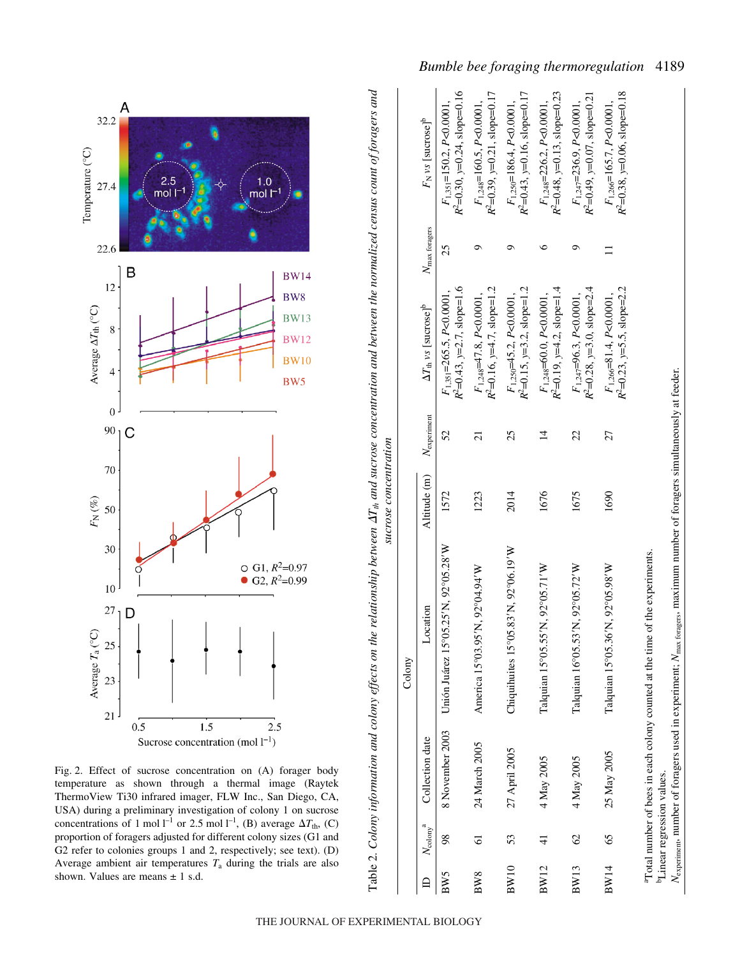

Fig. 2. Effect of sucrose concentration on (A) forager body temperature as shown through a thermal image (Raytek ThermoView Ti30 infrared imager, FLW Inc., San Diego, CA, USA) during a preliminary investigation of colony 1 on sucrose concentrations of 1 mol<sup> $l^{-1}$ </sup> or 2.5 mol<sup> $l^{-1}$ </sup>, (B) average  $\Delta T_{th}$ , (C) proportion of foragers adjusted for different colony sizes (G1 and G2 refer to colonies groups 1 and 2, respectively; see text). (D) Average ambient air temperatures  $T_a$  during the trials are also shown. Values are means  $\pm$  1 s.d.

Table 2. Colony information and colony effects on the relationship between  $\Delta T_{th}$  and sucrose concentration and between the normalized census count of foragers and *Tth and sucrose concentration and between the normalized census count of foragers and* sucrose concentration *sucrose concentration* Table 2. *Colony information and colony effects on the relationship between* 

|             |                                |                                        | Colony                                                                                                                                        |              |                      |                                                                       |                        |                                                                            |
|-------------|--------------------------------|----------------------------------------|-----------------------------------------------------------------------------------------------------------------------------------------------|--------------|----------------------|-----------------------------------------------------------------------|------------------------|----------------------------------------------------------------------------|
|             | $N_{\text{colony}}^{\qquad a}$ | Collection date                        | Location                                                                                                                                      | Altitude (m) | $N_{\rm experiment}$ | $\Delta T_{\text{th}}$ vs [sucrose] <sup>b</sup>                      | $N_{\rm max}$ foragers | F <sub>N</sub> vs [sucrose] <sup>b</sup>                                   |
| BW5         | 98                             | 8 November 2003                        | Unión Juárez 15°05.25'N, 92°05.28'W                                                                                                           | 1572         | 52                   | $R^2 = 0.43$ , $y = 2.7$ , slope=1.6<br>$F_{1,351}$ =265.5, P<0.0001. | 25                     | $R^2$ =0.30, $y$ =0.24, slope=0.16<br>$F_{1,351}$ =150.2, P<0.0001,        |
| BW8         | 5                              | 24 March 2005                          | America 15°03.95'N, 92°04.94'W                                                                                                                | 1223         | $\overline{c}$       | $R^2$ =0.16, $y$ =4.7, slope=1.2<br>$F_{1.248}$ =47.8, P<0.0001,      | ూ                      | $R^2$ =0.39, $y=0.21$ , slope=0.17<br>$F_{1,248}$ =160.5, P<0.0001,        |
| <b>BW10</b> | 53                             | 27 April 2005                          | Chiquihuites 15°05.83'N, 92°06.19'W                                                                                                           | 2014         | 25                   | $R^2=0.15$ , $y=3.2$ , slope=1.2<br>$F_{1,250}$ =45.2, P<0.0001,      |                        | $R^2 = 0.43$ , $y = 0.16$ , slope=0.17<br>$F_{1,250}$ =186.4, P<0.0001,    |
| <b>BW12</b> | 4                              | 4 May 2005                             | Talquian 15°05.55'N, 92°05.71'W                                                                                                               | 1676         | $\vec{4}$            | $R^2$ =0.19, $y$ =4.2, slope=1.4<br>$F_{1,248}$ =60.0, P<0.0001,      |                        | $R^2$ =0.48, $y=0.13$ , slope=0.23<br>$F_{1,248}$ =226.2, P<0.0001,        |
| <b>BW13</b> | $\mathcal{O}$                  | 4 May 2005                             | Talquian 16°05.53'N, 92°05.72'W                                                                                                               | 1675         | 22                   | $R^2$ =0.28, $y=3.0$ , slope=2.4<br>$F_{1,247} = 96.3, P < 0.0001,$   | ᡡ                      | $R^2$ =0.49, $y=0.07$ , slope=0.21<br>$F_{1.247} = 236.9$ , $P < 0.0001$ , |
| <b>BW14</b> | 65                             | 25 May 2005                            | Talquian 15°05.36'N, 92°05.98'W                                                                                                               | 1690         | 27                   | $R^2=0.23$ , $y=5.5$ , slope=2.2<br>$F_{1,266} = 81.4, P < 0.0001,$   |                        | $R^2$ =0.38, $y=0.06$ , slope=0.18<br>$F_{1,266}$ =165.7, P<0.0001,        |
|             |                                | <sup>b</sup> Linear regression values. | <sup>a</sup> Total number of bees in each colony counted at the time of the experiments.                                                      |              |                      |                                                                       |                        |                                                                            |
|             |                                |                                        | $N_{\text{experiment}}$ number of foragers used in experiment; $N_{\text{max}}$ tongers, maximum number of foragers simultaneously at feeder. |              |                      |                                                                       |                        |                                                                            |

*Bumble bee foraging thermoregulation* 4189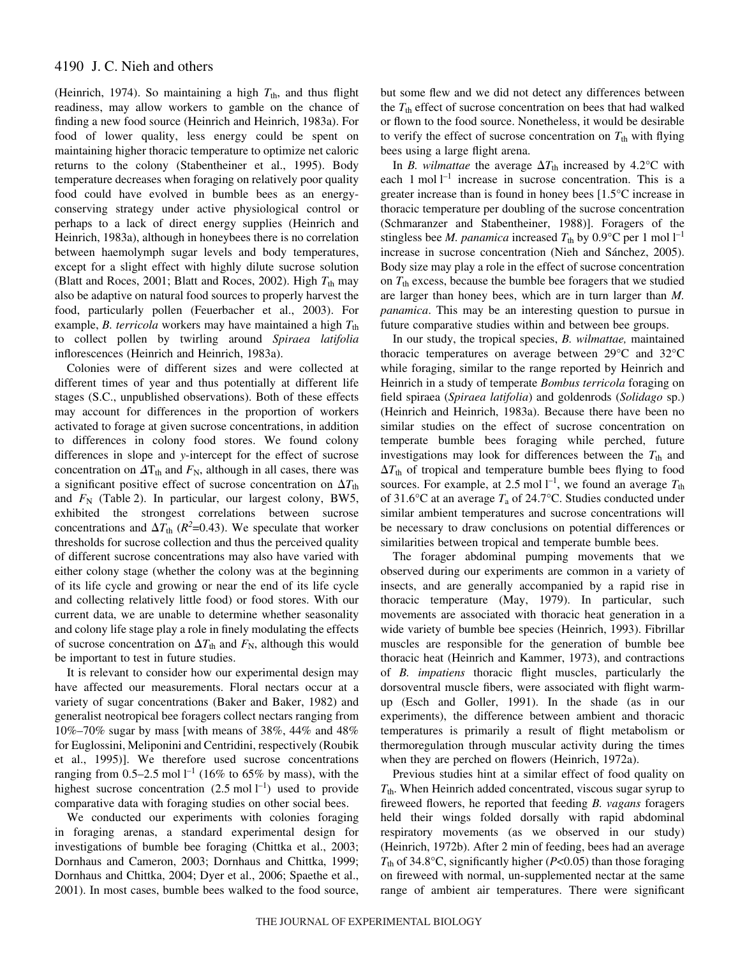(Heinrich, 1974). So maintaining a high  $T_{th}$ , and thus flight readiness, may allow workers to gamble on the chance of finding a new food source (Heinrich and Heinrich, 1983a). For food of lower quality, less energy could be spent on maintaining higher thoracic temperature to optimize net caloric returns to the colony (Stabentheiner et al., 1995). Body temperature decreases when foraging on relatively poor quality food could have evolved in bumble bees as an energyconserving strategy under active physiological control or perhaps to a lack of direct energy supplies (Heinrich and Heinrich, 1983a), although in honeybees there is no correlation between haemolymph sugar levels and body temperatures, except for a slight effect with highly dilute sucrose solution (Blatt and Roces, 2001; Blatt and Roces, 2002). High  $T_{th}$  may also be adaptive on natural food sources to properly harvest the food, particularly pollen (Feuerbacher et al., 2003). For example, *B. terricola* workers may have maintained a high  $T_{th}$ to collect pollen by twirling around *Spiraea latifolia* inflorescences (Heinrich and Heinrich, 1983a).

Colonies were of different sizes and were collected at different times of year and thus potentially at different life stages (S.C., unpublished observations). Both of these effects may account for differences in the proportion of workers activated to forage at given sucrose concentrations, in addition to differences in colony food stores. We found colony differences in slope and *y*-intercept for the effect of sucrose concentration on  $\Delta T_{th}$  and  $F_N$ , although in all cases, there was a significant positive effect of sucrose concentration on  $\Delta T_{\text{th}}$ and  $F_N$  (Table 2). In particular, our largest colony, BW5, exhibited the strongest correlations between sucrose concentrations and  $\Delta T_{\text{th}}$  ( $R^2$ =0.43). We speculate that worker thresholds for sucrose collection and thus the perceived quality of different sucrose concentrations may also have varied with either colony stage (whether the colony was at the beginning of its life cycle and growing or near the end of its life cycle and collecting relatively little food) or food stores. With our current data, we are unable to determine whether seasonality and colony life stage play a role in finely modulating the effects of sucrose concentration on  $\Delta T_{\text{th}}$  and  $F_{\text{N}}$ , although this would be important to test in future studies.

It is relevant to consider how our experimental design may have affected our measurements. Floral nectars occur at a variety of sugar concentrations (Baker and Baker, 1982) and generalist neotropical bee foragers collect nectars ranging from 10%–70% sugar by mass [with means of 38%, 44% and 48% for Euglossini, Meliponini and Centridini, respectively (Roubik et al., 1995)]. We therefore used sucrose concentrations ranging from 0.5–2.5 mol  $l^{-1}$  (16% to 65% by mass), with the highest sucrose concentration  $(2.5 \text{ mol } l^{-1})$  used to provide comparative data with foraging studies on other social bees.

We conducted our experiments with colonies foraging in foraging arenas, a standard experimental design for investigations of bumble bee foraging (Chittka et al., 2003; Dornhaus and Cameron, 2003; Dornhaus and Chittka, 1999; Dornhaus and Chittka, 2004; Dyer et al., 2006; Spaethe et al., 2001). In most cases, bumble bees walked to the food source, but some flew and we did not detect any differences between the  $T_{\text{th}}$  effect of sucrose concentration on bees that had walked or flown to the food source. Nonetheless, it would be desirable to verify the effect of sucrose concentration on  $T_{th}$  with flying bees using a large flight arena.

In *B. wilmattae* the average  $\Delta T_{th}$  increased by 4.2°C with each 1 mol  $l^{-1}$  increase in sucrose concentration. This is a greater increase than is found in honey bees [1.5°C increase in thoracic temperature per doubling of the sucrose concentration (Schmaranzer and Stabentheiner, 1988)]. Foragers of the stingless bee *M. panamica* increased  $T_{\text{th}}$  by 0.9°C per 1 mol  $l^{-1}$ increase in sucrose concentration (Nieh and Sánchez, 2005). Body size may play a role in the effect of sucrose concentration on  $T_{\text{th}}$  excess, because the bumble bee foragers that we studied are larger than honey bees, which are in turn larger than *M. panamica*. This may be an interesting question to pursue in future comparative studies within and between bee groups.

In our study, the tropical species, *B. wilmattae,* maintained thoracic temperatures on average between 29°C and 32°C while foraging, similar to the range reported by Heinrich and Heinrich in a study of temperate *Bombus terricola* foraging on field spiraea (*Spiraea latifolia*) and goldenrods (*Solidago* sp.) (Heinrich and Heinrich, 1983a). Because there have been no similar studies on the effect of sucrose concentration on temperate bumble bees foraging while perched, future investigations may look for differences between the  $T_{th}$  and  $\Delta T_{\text{th}}$  of tropical and temperature bumble bees flying to food sources. For example, at 2.5 mol  $l^{-1}$ , we found an average  $T_{th}$ of 31.6 $\rm ^{\circ}C$  at an average  $T_{\rm a}$  of 24.7 $\rm ^{\circ}C$ . Studies conducted under similar ambient temperatures and sucrose concentrations will be necessary to draw conclusions on potential differences or similarities between tropical and temperate bumble bees.

The forager abdominal pumping movements that we observed during our experiments are common in a variety of insects, and are generally accompanied by a rapid rise in thoracic temperature (May, 1979). In particular, such movements are associated with thoracic heat generation in a wide variety of bumble bee species (Heinrich, 1993). Fibrillar muscles are responsible for the generation of bumble bee thoracic heat (Heinrich and Kammer, 1973), and contractions of *B. impatiens* thoracic flight muscles, particularly the dorsoventral muscle fibers, were associated with flight warmup (Esch and Goller, 1991). In the shade (as in our experiments), the difference between ambient and thoracic temperatures is primarily a result of flight metabolism or thermoregulation through muscular activity during the times when they are perched on flowers (Heinrich, 1972a).

Previous studies hint at a similar effect of food quality on *T*th. When Heinrich added concentrated, viscous sugar syrup to fireweed flowers, he reported that feeding *B. vagans* foragers held their wings folded dorsally with rapid abdominal respiratory movements (as we observed in our study) (Heinrich, 1972b). After 2 min of feeding, bees had an average *T*th of 34.8°C, significantly higher (*P*<0.05) than those foraging on fireweed with normal, un-supplemented nectar at the same range of ambient air temperatures. There were significant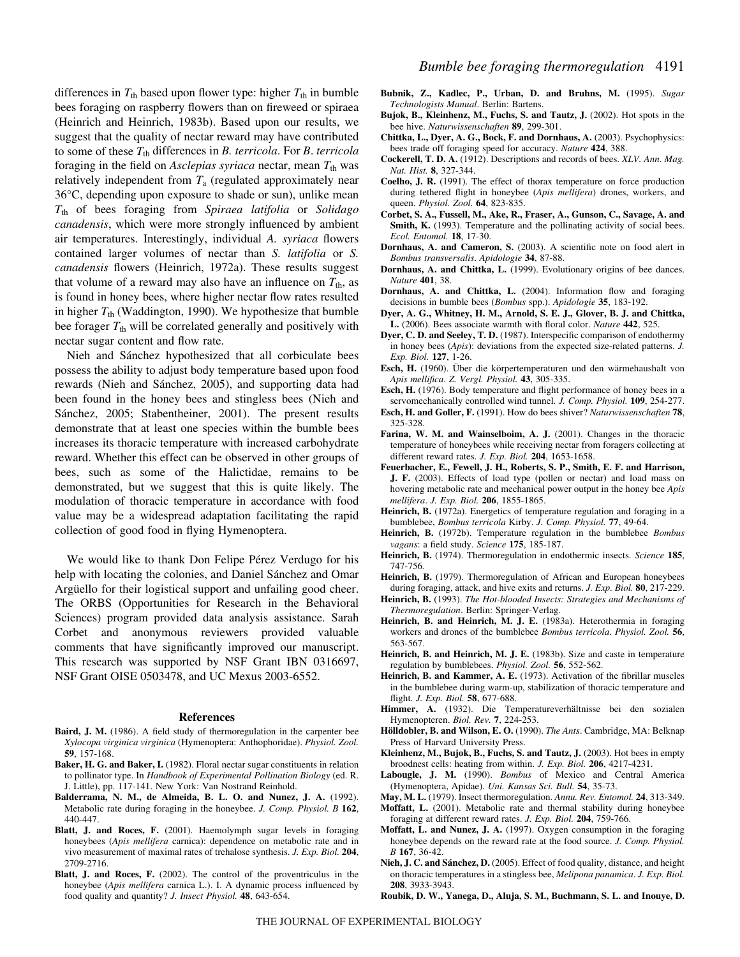differences in  $T_{\text{th}}$  based upon flower type: higher  $T_{\text{th}}$  in bumble bees foraging on raspberry flowers than on fireweed or spiraea (Heinrich and Heinrich, 1983b). Based upon our results, we suggest that the quality of nectar reward may have contributed to some of these *T*th differences in *B. terricola*. For *B*. *terricola* foraging in the field on *Asclepias syriaca* nectar, mean  $T_{th}$  was relatively independent from *T*<sup>a</sup> (regulated approximately near 36°C, depending upon exposure to shade or sun), unlike mean *T*th of bees foraging from *Spiraea latifolia* or *Solidago canadensis*, which were more strongly influenced by ambient air temperatures. Interestingly, individual *A. syriaca* flowers contained larger volumes of nectar than *S. latifolia* or *S. canadensis* flowers (Heinrich, 1972a). These results suggest that volume of a reward may also have an influence on  $T_{th}$ , as is found in honey bees, where higher nectar flow rates resulted in higher  $T_{\text{th}}$  (Waddington, 1990). We hypothesize that bumble bee forager  $T_{th}$  will be correlated generally and positively with nectar sugar content and flow rate.

Nieh and Sánchez hypothesized that all corbiculate bees possess the ability to adjust body temperature based upon food rewards (Nieh and Sánchez, 2005), and supporting data had been found in the honey bees and stingless bees (Nieh and Sánchez, 2005; Stabentheiner, 2001). The present results demonstrate that at least one species within the bumble bees increases its thoracic temperature with increased carbohydrate reward. Whether this effect can be observed in other groups of bees, such as some of the Halictidae, remains to be demonstrated, but we suggest that this is quite likely. The modulation of thoracic temperature in accordance with food value may be a widespread adaptation facilitating the rapid collection of good food in flying Hymenoptera.

We would like to thank Don Felipe Pérez Verdugo for his help with locating the colonies, and Daniel Sánchez and Omar Argüello for their logistical support and unfailing good cheer. The ORBS (Opportunities for Research in the Behavioral Sciences) program provided data analysis assistance. Sarah Corbet and anonymous reviewers provided valuable comments that have significantly improved our manuscript. This research was supported by NSF Grant IBN 0316697, NSF Grant OISE 0503478, and UC Mexus 2003-6552.

#### **References**

- **Baird, J. M.** (1986). A field study of thermoregulation in the carpenter bee *Xylocopa virginica virginica* (Hymenoptera: Anthophoridae). *Physiol. Zool.* **59**, 157-168.
- **Baker, H. G. and Baker, I.** (1982). Floral nectar sugar constituents in relation to pollinator type. In *Handbook of Experimental Pollination Biology* (ed. R. J. Little), pp. 117-141. New York: Van Nostrand Reinhold.
- **Balderrama, N. M., de Almeida, B. L. O. and Nunez, J. A.** (1992). Metabolic rate during foraging in the honeybee. *J. Comp. Physiol. B* **162**, 440-447.
- **Blatt, J. and Roces, F.** (2001). Haemolymph sugar levels in foraging honeybees (*Apis mellifera* carnica): dependence on metabolic rate and in vivo measurement of maximal rates of trehalose synthesis. *J. Exp. Biol.* **204**, 2709-2716.
- **Blatt, J. and Roces, F.** (2002). The control of the proventriculus in the honeybee (*Apis mellifera* carnica L.). I. A dynamic process influenced by food quality and quantity? *J. Insect Physiol.* **48**, 643-654.
- **Bubnik, Z., Kadlec, P., Urban, D. and Bruhns, M.** (1995). *Sugar Technologists Manual*. Berlin: Bartens.
- **Bujok, B., Kleinhenz, M., Fuchs, S. and Tautz, J.** (2002). Hot spots in the bee hive. *Naturwissenschaften* **89**, 299-301.
- **Chittka, L., Dyer, A. G., Bock, F. and Dornhaus, A.** (2003). Psychophysics: bees trade off foraging speed for accuracy. *Nature* **424**, 388.
- **Cockerell, T. D. A.** (1912). Descriptions and records of bees. *XLV. Ann. Mag. Nat. Hist.* **8**, 327-344.
- **Coelho, J. R.** (1991). The effect of thorax temperature on force production during tethered flight in honeybee (*Apis mellifera*) drones, workers, and queen. *Physiol. Zool.* **64**, 823-835.
- **Corbet, S. A., Fussell, M., Ake, R., Fraser, A., Gunson, C., Savage, A. and** Smith, K. (1993). Temperature and the pollinating activity of social bees. *Ecol. Entomol.* **18**, 17-30.
- **Dornhaus, A. and Cameron, S.** (2003). A scientific note on food alert in *Bombus transversalis*. *Apidologie* **34**, 87-88.
- **Dornhaus, A. and Chittka, L.** (1999). Evolutionary origins of bee dances. *Nature* **401**, 38.
- **Dornhaus, A. and Chittka, L.** (2004). Information flow and foraging decisions in bumble bees (*Bombus* spp.). *Apidologie* **35**, 183-192.
- **Dyer, A. G., Whitney, H. M., Arnold, S. E. J., Glover, B. J. and Chittka, L.** (2006). Bees associate warmth with floral color. *Nature* **442**, 525.
- **Dyer, C. D. and Seeley, T. D.** (1987). Interspecific comparison of endothermy in honey bees (*Apis*): deviations from the expected size-related patterns. *J. Exp. Biol.* **127**, 1-26.
- **Esch, H.** (1960). Über die körpertemperaturen und den wärmehaushalt von *Apis mellifica*. *Z. Vergl. Physiol.* **43**, 305-335.
- **Esch, H.** (1976). Body temperature and flight performance of honey bees in a servomechanically controlled wind tunnel. *J. Comp. Physiol.* **109**, 254-277.
- **Esch, H. and Goller, F.** (1991). How do bees shiver? *Naturwissenschaften* **78**, 325-328.
- **Farina, W. M. and Wainselboim, A. J.** (2001). Changes in the thoracic temperature of honeybees while receiving nectar from foragers collecting at different reward rates. *J. Exp. Biol.* **204**, 1653-1658.
- **Feuerbacher, E., Fewell, J. H., Roberts, S. P., Smith, E. F. and Harrison, J. F.** (2003). Effects of load type (pollen or nectar) and load mass on hovering metabolic rate and mechanical power output in the honey bee *Apis mellifera*. *J. Exp. Biol.* **206**, 1855-1865.
- **Heinrich, B.** (1972a). Energetics of temperature regulation and foraging in a bumblebee, *Bombus terricola* Kirby. *J. Comp. Physiol.* **77**, 49-64.
- **Heinrich, B.** (1972b). Temperature regulation in the bumblebee *Bombus vagans*: a field study. *Science* **175**, 185-187.
- **Heinrich, B.** (1974). Thermoregulation in endothermic insects. *Science* **185**, 747-756.
- **Heinrich, B.** (1979). Thermoregulation of African and European honeybees during foraging, attack, and hive exits and returns. *J. Exp. Biol.* **80**, 217-229.
- **Heinrich, B.** (1993). *The Hot-blooded Insects: Strategies and Mechanisms of Thermoregulation*. Berlin: Springer-Verlag.
- **Heinrich, B. and Heinrich, M. J. E.** (1983a). Heterothermia in foraging workers and drones of the bumblebee *Bombus terricola*. *Physiol. Zool.* **56**, 563-567.
- **Heinrich, B. and Heinrich, M. J. E.** (1983b). Size and caste in temperature regulation by bumblebees. *Physiol. Zool.* **56**, 552-562.
- **Heinrich, B. and Kammer, A. E.** (1973). Activation of the fibrillar muscles in the bumblebee during warm-up, stabilization of thoracic temperature and flight. *J. Exp. Biol.* **58**, 677-688.
- **Himmer, A.** (1932). Die Temperatureverhältnisse bei den sozialen Hymenopteren. *Biol. Rev.* **7**, 224-253.
- **Hölldobler, B. and Wilson, E. O.** (1990). *The Ants*. Cambridge, MA: Belknap Press of Harvard University Press.
- **Kleinhenz, M., Bujok, B., Fuchs, S. and Tautz, J.** (2003). Hot bees in empty broodnest cells: heating from within. *J. Exp. Biol.* **206**, 4217-4231.
- **Labougle, J. M.** (1990). *Bombus* of Mexico and Central America (Hymenoptera, Apidae). *Uni. Kansas Sci. Bull.* **54**, 35-73.
- **May, M. L.** (1979). Insect thermoregulation. *Annu. Rev. Entomol.* **24**, 313-349.
- **Moffatt, L.** (2001). Metabolic rate and thermal stability during honeybee foraging at different reward rates. *J. Exp. Biol.* **204**, 759-766.
- **Moffatt, L. and Nunez, J. A.** (1997). Oxygen consumption in the foraging honeybee depends on the reward rate at the food source. *J. Comp. Physiol. B* **167**, 36-42.
- **Nieh, J. C. and Sánchez, D.** (2005). Effect of food quality, distance, and height on thoracic temperatures in a stingless bee, *Melipona panamica*. *J. Exp. Biol.* **208**, 3933-3943.
- **Roubik, D. W., Yanega, D., Aluja, S. M., Buchmann, S. L. and Inouye, D.**